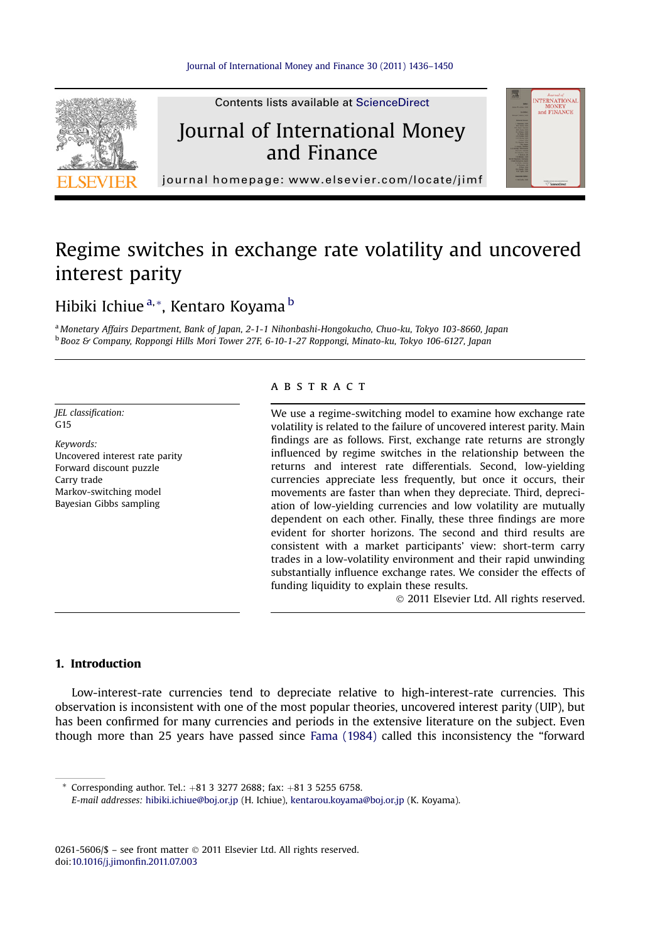

Contents lists available at ScienceDirect

## Journal of International Money and Finance



journal homepage:<www.elsevier.com/locate/jimf>

# Regime switches in exchange rate volatility and uncovered interest parity

### Hibiki Ichiue<sup>a,\*</sup>, Kentaro Koyama<sup>b</sup>

<sup>a</sup> Monetary Affairs Department, Bank of Japan, 2-1-1 Nihonbashi-Hongokucho, Chuo-ku, Tokyo 103-8660, Japan <sup>b</sup> Booz & Company, Roppongi Hills Mori Tower 27F, 6-10-1-27 Roppongi, Minato-ku, Tokyo 106-6127, Japan

JEL classification:  $C<sub>15</sub>$ 

Keywords: Uncovered interest rate parity Forward discount puzzle Carry trade Markov-switching model Bayesian Gibbs sampling

#### **ABSTRACT**

We use a regime-switching model to examine how exchange rate volatility is related to the failure of uncovered interest parity. Main findings are as follows. First, exchange rate returns are strongly influenced by regime switches in the relationship between the returns and interest rate differentials. Second, low-yielding currencies appreciate less frequently, but once it occurs, their movements are faster than when they depreciate. Third, depreciation of low-yielding currencies and low volatility are mutually dependent on each other. Finally, these three findings are more evident for shorter horizons. The second and third results are consistent with a market participants' view: short-term carry trades in a low-volatility environment and their rapid unwinding substantially influence exchange rates. We consider the effects of funding liquidity to explain these results.

2011 Elsevier Ltd. All rights reserved.

#### 1. Introduction

Low-interest-rate currencies tend to depreciate relative to high-interest-rate currencies. This observation is inconsistent with one of the most popular theories, uncovered interest parity (UIP), but has been confirmed for many currencies and periods in the extensive literature on the subject. Even though more than 25 years have passed since [Fama \(1984\)](#page--1-0) called this inconsistency the "forward

\* Corresponding author. Tel.:  $+81$  3 3277 2688; fax:  $+81$  3 5255 6758.

0261-5606/\$ - see front matter  $\odot$  2011 Elsevier Ltd. All rights reserved. doi:[10.1016/j.jimon](http://dx.doi.org/10.1016/j.jimonfin.2011.07.003)fin.2011.07.003

E-mail addresses: [hibiki.ichiue@boj.or.jp](mailto:hibiki.ichiue@boj.or.jp) (H. Ichiue), [kentarou.koyama@boj.or.jp](mailto:kentarou.koyama@boj.or.jp) (K. Koyama).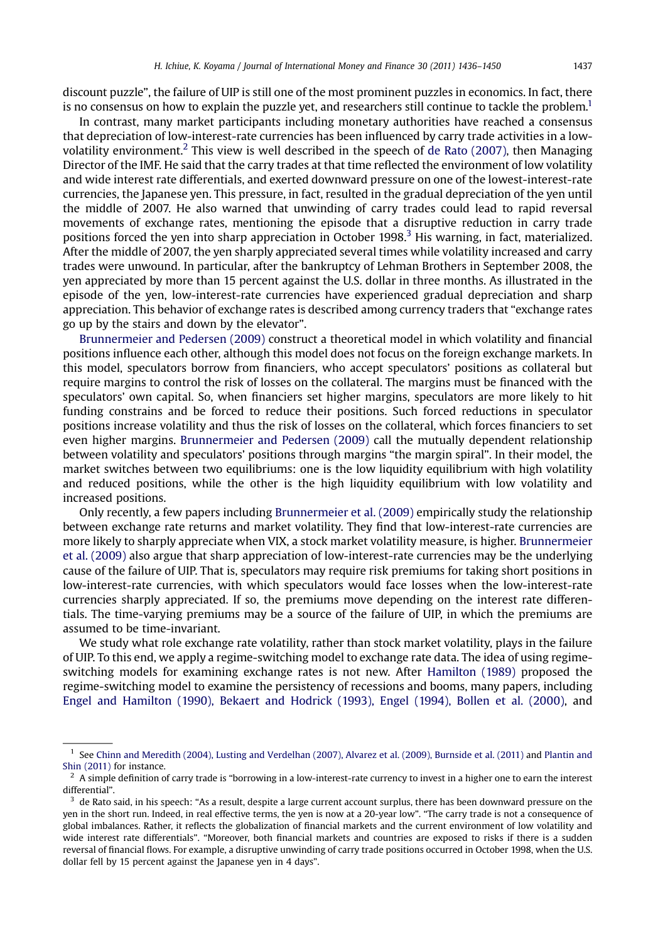discount puzzle", the failure of UIP is still one of the most prominent puzzles in economics. In fact, there is no consensus on how to explain the puzzle yet, and researchers still continue to tackle the problem.<sup>1</sup>

In contrast, many market participants including monetary authorities have reached a consensus that depreciation of low-interest-rate currencies has been influenced by carry trade activities in a lowvolatility environment.<sup>2</sup> This view is well described in the speech of [de Rato \(2007\),](#page--1-0) then Managing Director of the IMF. He said that the carry trades at that time reflected the environment of low volatility and wide interest rate differentials, and exerted downward pressure on one of the lowest-interest-rate currencies, the Japanese yen. This pressure, in fact, resulted in the gradual depreciation of the yen until the middle of 2007. He also warned that unwinding of carry trades could lead to rapid reversal movements of exchange rates, mentioning the episode that a disruptive reduction in carry trade positions forced the yen into sharp appreciation in October 1998.<sup>3</sup> His warning, in fact, materialized. After the middle of 2007, the yen sharply appreciated several times while volatility increased and carry trades were unwound. In particular, after the bankruptcy of Lehman Brothers in September 2008, the yen appreciated by more than 15 percent against the U.S. dollar in three months. As illustrated in the episode of the yen, low-interest-rate currencies have experienced gradual depreciation and sharp appreciation. This behavior of exchange rates is described among currency traders that "exchange rates go up by the stairs and down by the elevator".

[Brunnermeier and Pedersen \(2009\)](#page--1-0) construct a theoretical model in which volatility and financial positions influence each other, although this model does not focus on the foreign exchange markets. In this model, speculators borrow from financiers, who accept speculators' positions as collateral but require margins to control the risk of losses on the collateral. The margins must be financed with the speculators' own capital. So, when financiers set higher margins, speculators are more likely to hit funding constrains and be forced to reduce their positions. Such forced reductions in speculator positions increase volatility and thus the risk of losses on the collateral, which forces financiers to set even higher margins. [Brunnermeier and Pedersen \(2009\)](#page--1-0) call the mutually dependent relationship between volatility and speculators' positions through margins "the margin spiral". In their model, the market switches between two equilibriums: one is the low liquidity equilibrium with high volatility and reduced positions, while the other is the high liquidity equilibrium with low volatility and increased positions.

Only recently, a few papers including [Brunnermeier et al. \(2009\)](#page--1-0) empirically study the relationship between exchange rate returns and market volatility. They find that low-interest-rate currencies are more likely to sharply appreciate when VIX, a stock market volatility measure, is higher. [Brunnermeier](#page--1-0) [et al. \(2009\)](#page--1-0) also argue that sharp appreciation of low-interest-rate currencies may be the underlying cause of the failure of UIP. That is, speculators may require risk premiums for taking short positions in low-interest-rate currencies, with which speculators would face losses when the low-interest-rate currencies sharply appreciated. If so, the premiums move depending on the interest rate differentials. The time-varying premiums may be a source of the failure of UIP, in which the premiums are assumed to be time-invariant.

We study what role exchange rate volatility, rather than stock market volatility, plays in the failure of UIP. To this end, we apply a regime-switching model to exchange rate data. The idea of using regimeswitching models for examining exchange rates is not new. After [Hamilton \(1989\)](#page--1-0) proposed the regime-switching model to examine the persistency of recessions and booms, many papers, including [Engel and Hamilton \(1990\), Bekaert and Hodrick \(1993\), Engel \(1994\), Bollen et al. \(2000\),](#page--1-0) and

<sup>1</sup> See [Chinn and Meredith \(2004\), Lusting and Verdelhan \(2007\), Alvarez et al. \(2009\), Burnside et al. \(2011\)](#page--1-0) and [Plantin and](#page--1-0) [Shin \(2011\)](#page--1-0) for instance.

 $2$  A simple definition of carry trade is "borrowing in a low-interest-rate currency to invest in a higher one to earn the interest differential".

 $3\,$  de Rato said, in his speech: "As a result, despite a large current account surplus, there has been downward pressure on the yen in the short run. Indeed, in real effective terms, the yen is now at a 20-year low". "The carry trade is not a consequence of global imbalances. Rather, it reflects the globalization of financial markets and the current environment of low volatility and wide interest rate differentials". "Moreover, both financial markets and countries are exposed to risks if there is a sudden reversal of financial flows. For example, a disruptive unwinding of carry trade positions occurred in October 1998, when the U.S. dollar fell by 15 percent against the Japanese yen in 4 days".